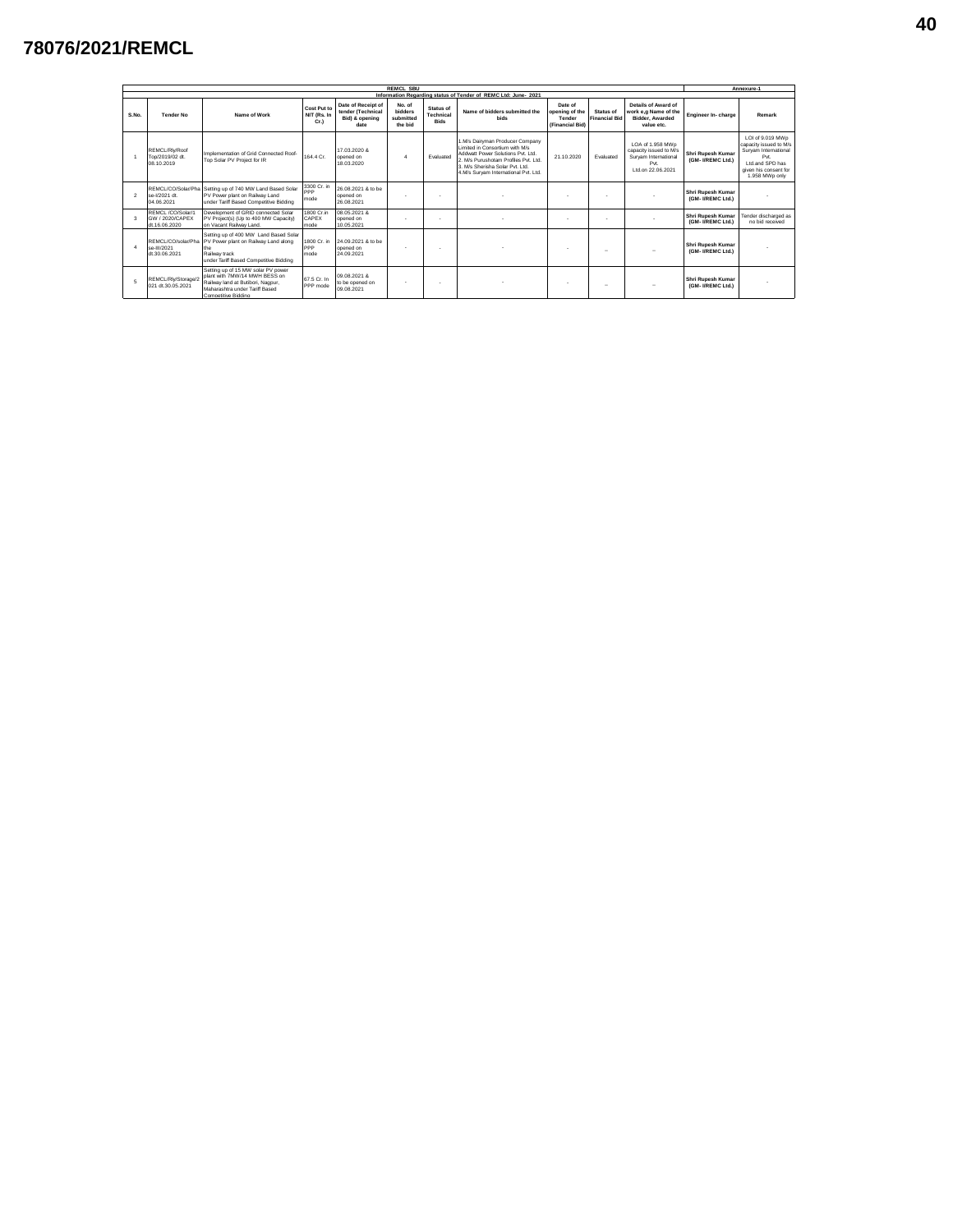## **78076/2021/REMCL**

|                   | <b>REMCL SBU</b>                                     |                                                                                                                                                                   |                                    |                                                                   |                                                  |                                       |                                                                                                                                                                                                                         |                                                        |                                          |                                                                                                 |                                        |                                                                                                                                         |  |  |
|-------------------|------------------------------------------------------|-------------------------------------------------------------------------------------------------------------------------------------------------------------------|------------------------------------|-------------------------------------------------------------------|--------------------------------------------------|---------------------------------------|-------------------------------------------------------------------------------------------------------------------------------------------------------------------------------------------------------------------------|--------------------------------------------------------|------------------------------------------|-------------------------------------------------------------------------------------------------|----------------------------------------|-----------------------------------------------------------------------------------------------------------------------------------------|--|--|
|                   |                                                      |                                                                                                                                                                   |                                    |                                                                   |                                                  |                                       | Information Regarding status of Tender of REMC Ltd: June- 2021                                                                                                                                                          |                                                        |                                          |                                                                                                 |                                        |                                                                                                                                         |  |  |
| $S$ <sub>No</sub> | <b>Tender No</b>                                     | Name of Work                                                                                                                                                      | Cost Put to<br>NIT (Rs. In<br>Cr.  | Date of Receipt of<br>tender (Technical<br>Bid) & opening<br>date | No. of<br><b>bidders</b><br>submitted<br>the bid | Status of<br>Technical<br><b>Bids</b> | Name of bidders submitted the<br><b>bids</b>                                                                                                                                                                            | Date of<br>opening of the<br>Tender<br>(Financial Bid) | <b>Status of</b><br><b>Financial Bid</b> | Details of Award of<br>work e.g Name of the<br><b>Bidder, Awarded</b><br>value etc.             | Engineer In-charge                     | Remark                                                                                                                                  |  |  |
|                   | REMCL/Rlv/Roof<br>Top/2019/02 dt.<br>08 10 2019      | Implementation of Grid Connected Roof-<br>Top Solar PV Project for IR                                                                                             | 164 4 Cr                           | 17 03 2020 &<br>opened on<br>18 03 2020                           | $\overline{a}$                                   | Evaluated                             | 1.M/s Dairyman Producer Company<br>Limited in Consortium with M/s.<br>Addwatt Power Solutions Pvt 1td<br>2 M/s Punishotam Profiles Pvt 1 td.<br>3. M/s Sherisha Solar Pvt. Ltd.<br>4.M/s Survam International Pvt. Ltd. | 21 10 2020                                             | Fvaluated                                | LOA of 1.958 MWp<br>capacity issued to M/s<br>Survam International<br>Pvt<br>1 td on 22 06 2021 | Shri Rupesh Kumar<br>(GM- I/REMC Ltd.) | LOI of 9.019 MWp<br>capacity issued to M/s<br>Survam International<br>Pvt<br>Ltd and SPD has<br>given his consent for<br>1.958 MWp only |  |  |
| $\overline{2}$    | REMCL/CO/Solar/Pha<br>se-1/2021 dt<br>04.06.2021     | Setting up of 740 MW Land Based Solar<br>PV Power plant on Railway Land<br>under Tariff Based Competitive Bidding                                                 | 3300 Cr. in<br><b>PPP</b><br>mode  | 26.08.2021 & to be<br>opened on<br>26.08.2021                     | $\overline{\phantom{a}}$                         |                                       |                                                                                                                                                                                                                         |                                                        |                                          |                                                                                                 | Shri Rupesh Kumar<br>(GM- I/REMC Ltd.) |                                                                                                                                         |  |  |
| 3                 | REMCL/CO/Solar/1<br>GW / 2020/CAPEX<br>dt.16.06.2020 | Development of GRID connected Solar<br>PV Project(s) (Up to 400 MW Capacity)<br>on Vacant Railway Land.                                                           | 1800 Cr in<br><b>CAPEX</b><br>mode | 08 05 2021 &<br>opened on<br>10.05.2021                           |                                                  |                                       |                                                                                                                                                                                                                         |                                                        |                                          |                                                                                                 | Shri Rupesh Kumar<br>(GM- I/REMC Ltd.) | Tender discharged as<br>no bid received                                                                                                 |  |  |
|                   | REMCL/CO/solar/Pha<br>se-III/2021<br>dt 30.06.2021   | Setting up of 400 MW Land Based Solar<br>PV Power plant on Railway Land along<br>the<br>Railway track<br>under Tariff Based Competitive Bidding                   | 1800 Cr. in<br><b>PPP</b><br>mode  | 24.09.2021 & to be<br>opened on<br>24 09 2021                     |                                                  |                                       |                                                                                                                                                                                                                         |                                                        | $\sim$                                   |                                                                                                 | Shri Rupesh Kumar<br>(GM- I/REMC Ltd.) |                                                                                                                                         |  |  |
| 5                 | REMCL/Rlv/Storage/2<br>021 dt.30.05.2021             | Setting up of 15 MW solar PV power<br>plant with 7MW/14 MWH BESS on<br>Railway land at Butibori, Nagpur,<br>Maharashtra under Tariff Based<br>Competitive Bidding | 67.5 Cr. In<br>PPP mode            | 09.08.2021 &<br>to be opened on<br>09.08.2021                     |                                                  |                                       |                                                                                                                                                                                                                         | $\sim$                                                 | $\sim$                                   |                                                                                                 | Shri Rupesh Kumar<br>(GM- I/REMC Ltd.) |                                                                                                                                         |  |  |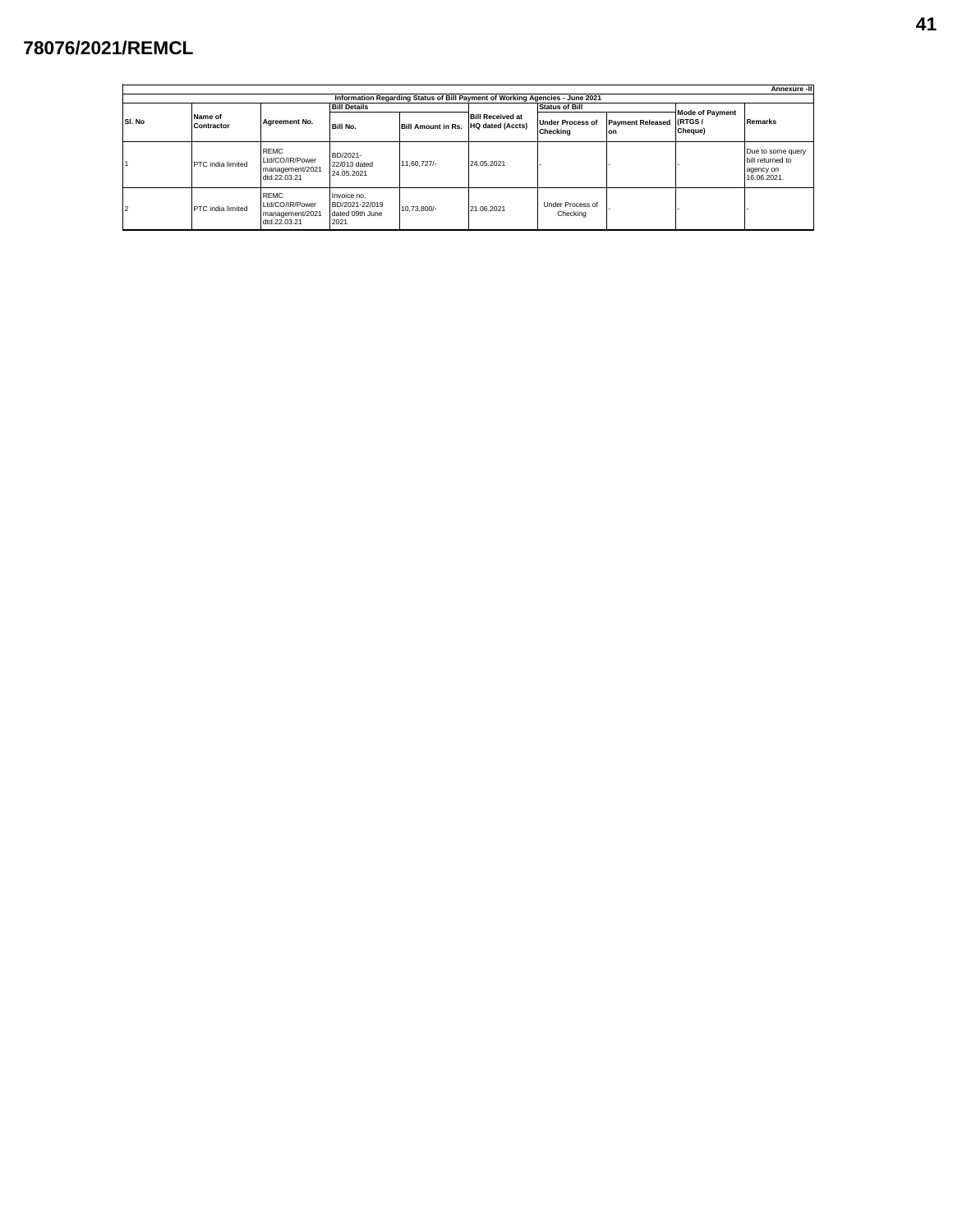## **78076/2021/REMCL**

| Annexure -II                                                                 |                       |                                                                   |                                                          |                           |                                                    |                              |                                 |                                   |                                                                   |  |  |  |
|------------------------------------------------------------------------------|-----------------------|-------------------------------------------------------------------|----------------------------------------------------------|---------------------------|----------------------------------------------------|------------------------------|---------------------------------|-----------------------------------|-------------------------------------------------------------------|--|--|--|
| Information Regarding Status of Bill Payment of Working Agencies - June 2021 |                       |                                                                   |                                                          |                           |                                                    |                              |                                 |                                   |                                                                   |  |  |  |
|                                                                              |                       |                                                                   | <b>Bill Details</b>                                      |                           |                                                    | <b>Status of Bill</b>        |                                 |                                   | Remarks                                                           |  |  |  |
| SI. No                                                                       | Name of<br>Contractor | Agreement No.                                                     | <b>Bill No.</b>                                          | <b>Bill Amount in Rs.</b> | <b>Bill Received at</b><br><b>HQ dated (Accts)</b> | Under Process of<br>Checking | Payment Released (RTGS /<br>lon | <b>Mode of Payment</b><br>Cheque) |                                                                   |  |  |  |
|                                                                              | PTC india limited     | <b>REMC</b><br>Ltd/CO/IR/Power<br>management/2021<br>dtd.22.03.21 | BD/2021-<br>22/013 dated<br>24.05.2021                   | 11.60.727/-               | 24.05.2021                                         |                              |                                 |                                   | Due to some query<br>bill returned to<br>agency on<br>16.06.2021. |  |  |  |
| $\overline{2}$                                                               | PTC india limited     | <b>REMC</b><br>Ltd/CO/IR/Power<br>management/2021<br>dtd.22.03.21 | Invoice no.<br>BD/2021-22/019<br>dated 09th June<br>2021 | 10.73.800/-               | 21.06.2021                                         | Under Process of<br>Checking |                                 |                                   |                                                                   |  |  |  |